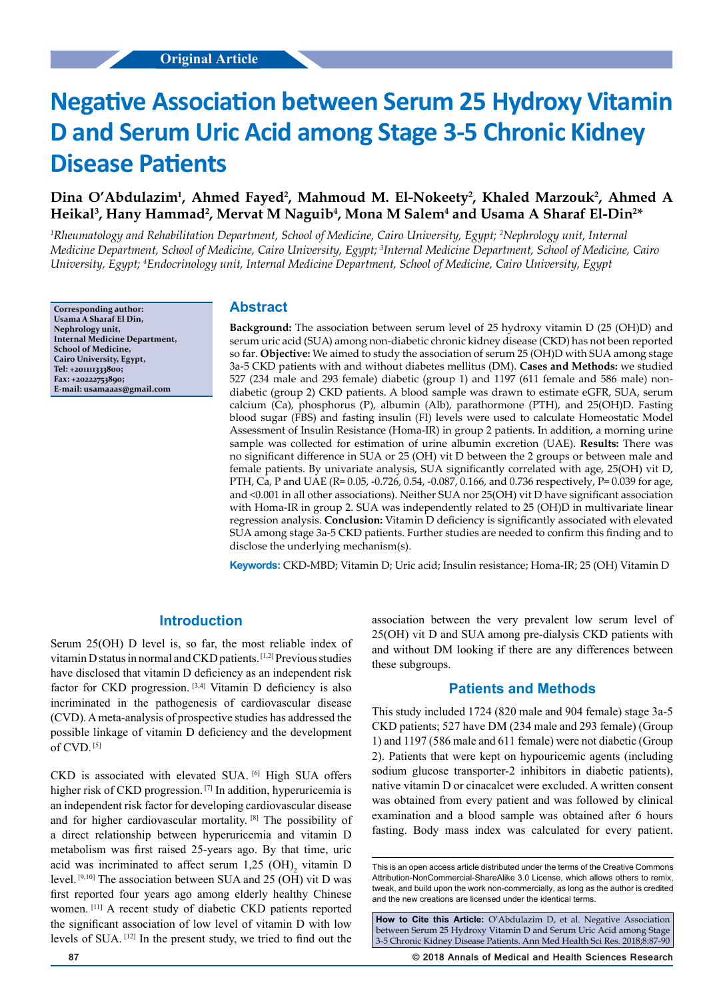# **Negative Association between Serum 25 Hydroxy Vitamin D and Serum Uric Acid among Stage 3-5 Chronic Kidney Disease Patients**

# Dina O'Abdulazim<sup>1</sup>, Ahmed Fayed<sup>2</sup>, Mahmoud M. El-Nokeety<sup>2</sup>, Khaled Marzouk<sup>2</sup>, Ahmed A Heikal<sup>3</sup>, Hany Hammad<sup>2</sup>, Mervat M Naguib<sup>4</sup>, Mona M Salem<sup>4</sup> and Usama A Sharaf El-Din<sup>2\*</sup>

*1 Rheumatology and Rehabilitation Department, School of Medicine, Cairo University, Egypt; 2 Nephrology unit, Internal Medicine Department, School of Medicine, Cairo University, Egypt; 3 Internal Medicine Department, School of Medicine, Cairo University, Egypt; 4 Endocrinology unit, Internal Medicine Department, School of Medicine, Cairo University, Egypt*

**Corresponding author: Usama A Sharaf El Din, Nephrology unit, Internal Medicine Department, School of Medicine, Cairo University, Egypt, Tel: +201111333800; Fax: +20222753890; E-mail: usamaaas@gmail.com**

## **Abstract**

**Background:** The association between serum level of 25 hydroxy vitamin D (25 (OH)D) and serum uric acid (SUA) among non-diabetic chronic kidney disease (CKD) has not been reported so far. **Objective:** We aimed to study the association of serum 25 (OH)D with SUA among stage 3a-5 CKD patients with and without diabetes mellitus (DM). **Cases and Methods:** we studied 527 (234 male and 293 female) diabetic (group 1) and 1197 (611 female and 586 male) nondiabetic (group 2) CKD patients. A blood sample was drawn to estimate eGFR, SUA, serum calcium (Ca), phosphorus (P), albumin (Alb), parathormone (PTH), and 25(OH)D. Fasting blood sugar (FBS) and fasting insulin (FI) levels were used to calculate Homeostatic Model Assessment of Insulin Resistance (Homa-IR) in group 2 patients. In addition, a morning urine sample was collected for estimation of urine albumin excretion (UAE). **Results:** There was no significant difference in SUA or 25 (OH) vit D between the 2 groups or between male and female patients. By univariate analysis, SUA significantly correlated with age, 25(OH) vit D, PTH, Ca, P and UAE (R= 0.05, -0.726, 0.54, -0.087, 0.166, and 0.736 respectively, P= 0.039 for age, and <0.001 in all other associations). Neither SUA nor 25(OH) vit D have significant association with Homa-IR in group 2. SUA was independently related to 25 (OH)D in multivariate linear regression analysis. **Conclusion:** Vitamin D deficiency is significantly associated with elevated SUA among stage 3a-5 CKD patients. Further studies are needed to confirm this finding and to disclose the underlying mechanism(s).

**Keywords:** CKD-MBD; Vitamin D; Uric acid; Insulin resistance; Homa-IR; 25 (OH) Vitamin D

## **Introduction**

Serum 25(OH) D level is, so far, the most reliable index of vitamin D status in normal and CKD patients. [1,2] Previous studies have disclosed that vitamin D deficiency as an independent risk factor for CKD progression. [3,4] Vitamin D deficiency is also incriminated in the pathogenesis of cardiovascular disease (CVD). A meta-analysis of prospective studies has addressed the possible linkage of vitamin D deficiency and the development of  $CVD$ .  $[5]$ 

CKD is associated with elevated SUA. [6] High SUA offers higher risk of CKD progression.<sup>[7]</sup> In addition, hyperuricemia is an independent risk factor for developing cardiovascular disease and for higher cardiovascular mortality. [8] The possibility of a direct relationship between hyperuricemia and vitamin D metabolism was first raised 25-years ago. By that time, uric acid was incriminated to affect serum  $1,25$  (OH)<sub>2</sub> vitamin D level. [9,10] The association between SUA and 25 (OH) vit D was first reported four years ago among elderly healthy Chinese women. [11] A recent study of diabetic CKD patients reported the significant association of low level of vitamin D with low levels of SUA. [12] In the present study, we tried to find out the

association between the very prevalent low serum level of 25(OH) vit D and SUA among pre-dialysis CKD patients with and without DM looking if there are any differences between these subgroups.

#### **Patients and Methods**

This study included 1724 (820 male and 904 female) stage 3a-5 CKD patients; 527 have DM (234 male and 293 female) (Group 1) and 1197 (586 male and 611 female) were not diabetic (Group 2). Patients that were kept on hypouricemic agents (including sodium glucose transporter-2 inhibitors in diabetic patients), native vitamin D or cinacalcet were excluded. A written consent was obtained from every patient and was followed by clinical examination and a blood sample was obtained after 6 hours fasting. Body mass index was calculated for every patient.

**How to Cite this Article:** O'Abdulazim D, et al. Negative Association between Serum 25 Hydroxy Vitamin D and Serum Uric Acid among Stage 3-5 Chronic Kidney Disease Patients. Ann Med Health Sci Res. 2018;8:87-90

**87 © 2018 Annals of Medical and Health Sciences Research** 

This is an open access article distributed under the terms of the Creative Commons Attribution-NonCommercial-ShareAlike 3.0 License, which allows others to remix, tweak, and build upon the work non‑commercially, as long as the author is credited and the new creations are licensed under the identical terms.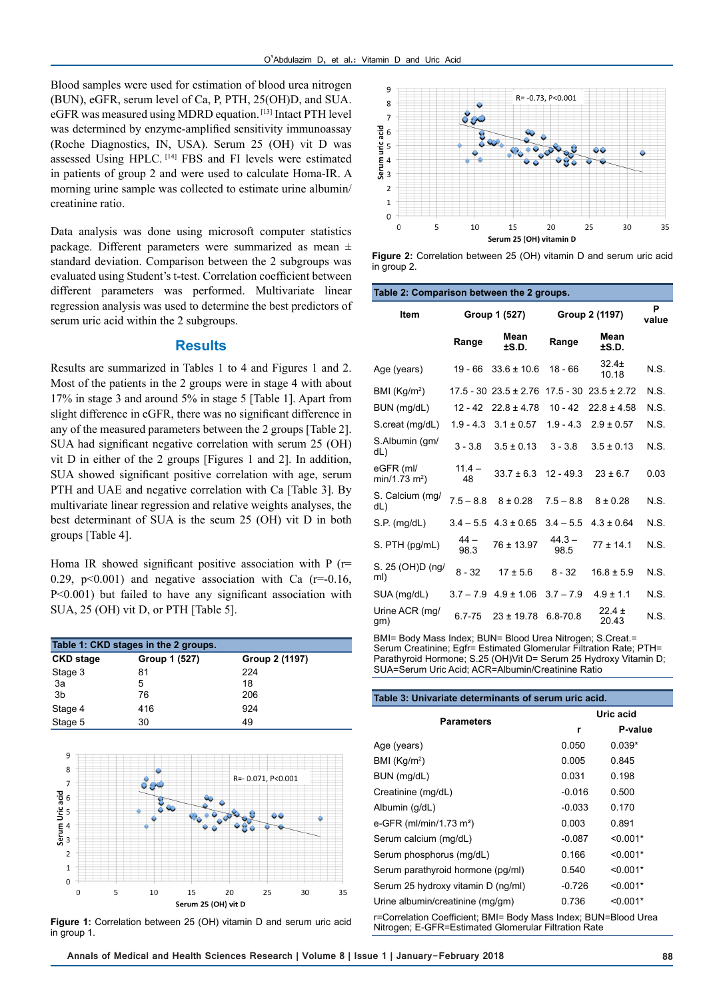Blood samples were used for estimation of blood urea nitrogen (BUN), eGFR, serum level of Ca, P, PTH, 25(OH)D, and SUA. eGFR was measured using MDRD equation. [13] Intact PTH level was determined by enzyme-amplified sensitivity immunoassay (Roche Diagnostics, IN, USA). Serum 25 (OH) vit D was assessed Using HPLC. [14] FBS and FI levels were estimated in patients of group 2 and were used to calculate Homa-IR. A morning urine sample was collected to estimate urine albumin/ creatinine ratio.

Data analysis was done using microsoft computer statistics package. Different parameters were summarized as mean ± standard deviation. Comparison between the 2 subgroups was evaluated using Student's t-test. Correlation coefficient between different parameters was performed. Multivariate linear regression analysis was used to determine the best predictors of serum uric acid within the 2 subgroups.

## **Results**

Results are summarized in Tables 1 to 4 and Figures 1 and 2. Most of the patients in the 2 groups were in stage 4 with about 17% in stage 3 and around 5% in stage 5 [Table 1]. Apart from slight difference in eGFR, there was no significant difference in any of the measured parameters between the 2 groups [Table 2]. SUA had significant negative correlation with serum 25 (OH) vit D in either of the 2 groups [Figures 1 and 2]. In addition, SUA showed significant positive correlation with age, serum PTH and UAE and negative correlation with Ca [Table 3]. By multivariate linear regression and relative weights analyses, the best determinant of SUA is the seum 25 (OH) vit D in both groups [Table 4].

Homa IR showed significant positive association with P (r= 0.29, p $\leq$ 0.001) and negative association with Ca (r=-0.16, P<0.001) but failed to have any significant association with SUA, 25 (OH) vit D, or PTH [Table 5].

| Table 1: CKD stages in the 2 groups. |               |                |  |  |
|--------------------------------------|---------------|----------------|--|--|
| <b>CKD stage</b>                     | Group 1 (527) | Group 2 (1197) |  |  |
| Stage 3                              | 81            | 224            |  |  |
| 3a                                   | 5             | 18             |  |  |
| 3 <sub>b</sub>                       | 76            | 206            |  |  |
| Stage 4                              | 416           | 924            |  |  |
| Stage 5                              | 30            | 49             |  |  |



**Figure 1:** Correlation between 25 (OH) vitamin D and serum uric acid in group 1.



**Figure 2:** Correlation between 25 (OH) vitamin D and serum uric acid in group 2.

| Table 2: Comparison between the 2 groups. |                |                             |                  |                             |      |
|-------------------------------------------|----------------|-----------------------------|------------------|-----------------------------|------|
| <b>Item</b>                               | Group 1 (527)  |                             | Group 2 (1197)   | P<br>value                  |      |
|                                           | Range          | Mean<br>±S.D.               | Range            | Mean<br>±S.D.               |      |
| Age (years)                               | 19 - 66        | $33.6 \pm 10.6$             | $18 - 66$        | $32.4+$<br>10.18            | N.S. |
| BMI $(Kg/m2)$                             |                | $17.5 - 30$ $23.5 \pm 2.76$ |                  | $17.5 - 30$ $23.5 \pm 2.72$ | N.S. |
| BUN (mg/dL)                               | $12 - 42$      | $22.8 \pm 4.78$             | $10 - 42$        | $22.8 \pm 4.58$             | N.S. |
| S.creat (mg/dL)                           |                | $1.9 - 4.3$ $3.1 \pm 0.57$  | $1.9 - 4.3$      | $2.9 \pm 0.57$              | N.S. |
| S.Albumin (gm/<br>dL)                     | $3 - 3.8$      | $3.5 \pm 0.13$              | $3 - 3.8$        | $3.5 \pm 0.13$              | N.S. |
| eGFR (ml/<br>$min/1.73 m2$ )              | $11.4 -$<br>48 | $33.7 \pm 6.3$              | $12 - 49.3$      | $23 \pm 6.7$                | 0.03 |
| S. Calcium (mg/<br>dL)                    | $7.5 - 8.8$    | $8 \pm 0.28$                | $7.5 - 8.8$      | $8 \pm 0.28$                | N.S. |
| S.P. (mg/dL)                              | $3.4 - 5.5$    | $4.3 \pm 0.65$              | $3.4 - 5.5$      | $4.3 \pm 0.64$              | N.S. |
| S. PTH (pg/mL)                            | $44 -$<br>98.3 | 76 ± 13.97                  | $44.3 -$<br>98.5 | $77 + 14.1$                 | N.S. |
| S. 25 (OH)D (ng/<br>ml)                   | $8 - 32$       | $17 \pm 5.6$                | $8 - 32$         | $16.8 \pm 5.9$              | N.S. |
| SUA (mg/dL)                               | $3.7 - 7.9$    | $4.9 \pm 1.06$              | $3.7 - 7.9$      | $4.9 \pm 1.1$               | N.S. |
| Urine ACR (mg/<br>gm)                     | $6.7 - 75$     | $23 \pm 19.78$              | $6.8 - 70.8$     | $22.4 \pm$<br>20.43         | N.S. |
|                                           |                |                             |                  | $\sim$ $\sim$               |      |

BMI= Body Mass Index; BUN= Blood Urea Nitrogen; S.Creat.= Serum Creatinine; Egfr= Estimated Glomerular Filtration Rate; PTH= Parathyroid Hormone; S.25 (OH)Vit D= Serum 25 Hydroxy Vitamin D; SUA=Serum Uric Acid; ACR=Albumin/Creatinine Ratio

| Table 3: Univariate determinants of serum uric acid.                                                                    |           |            |  |
|-------------------------------------------------------------------------------------------------------------------------|-----------|------------|--|
| Parameters                                                                                                              | Uric acid |            |  |
|                                                                                                                         | r         | P-value    |  |
| Age (years)                                                                                                             | 0.050     | $0.039*$   |  |
| BMI $(Kg/m2)$                                                                                                           | 0.005     | 0.845      |  |
| BUN (mg/dL)                                                                                                             | 0.031     | 0.198      |  |
| Creatinine (mg/dL)                                                                                                      | $-0.016$  | 0.500      |  |
| Albumin (g/dL)                                                                                                          | $-0.033$  | 0.170      |  |
| e-GFR (ml/min/1.73 m <sup>2</sup> )                                                                                     | 0.003     | 0.891      |  |
| Serum calcium (mg/dL)                                                                                                   | $-0.087$  | $< 0.001*$ |  |
| Serum phosphorus (mg/dL)                                                                                                | 0.166     | $< 0.001*$ |  |
| Serum parathyroid hormone (pg/ml)                                                                                       | 0.540     | $< 0.001*$ |  |
| Serum 25 hydroxy vitamin D (ng/ml)                                                                                      | $-0.726$  | $< 0.001*$ |  |
| Urine albumin/creatinine (mg/gm)                                                                                        | 0.736     | $< 0.001*$ |  |
| r=Correlation Coefficient; BMI= Body Mass Index; BUN=Blood Urea<br>Nitrogen: E-GFR=Estimated Glomerular Filtration Rate |           |            |  |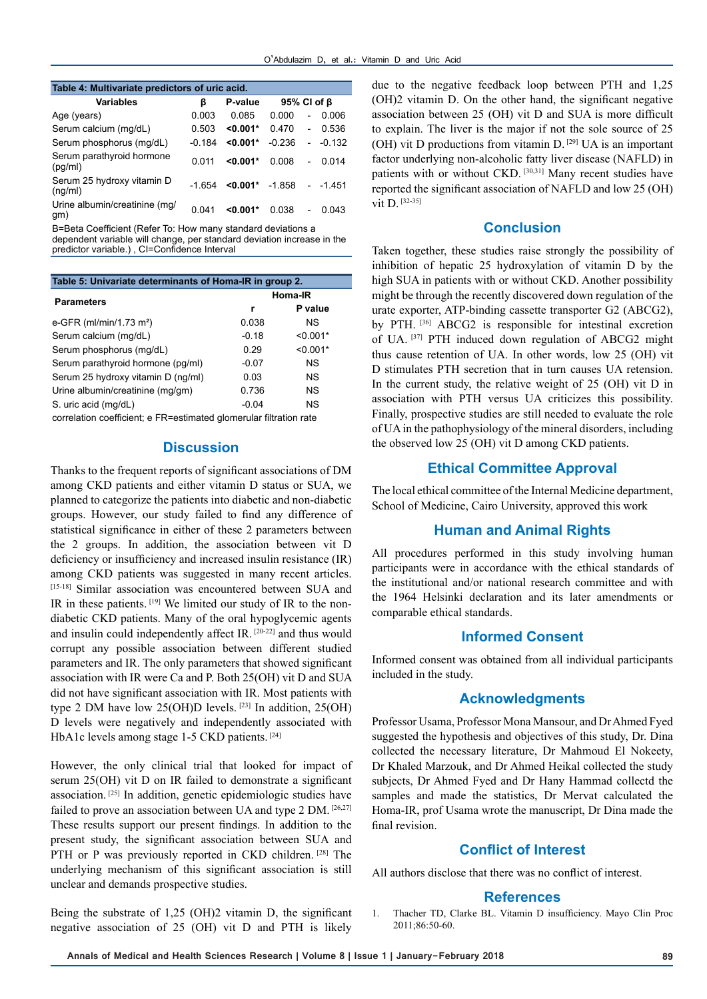| Table 4: Multivariate predictors of uric acid. |          |                   |                   |                          |          |
|------------------------------------------------|----------|-------------------|-------------------|--------------------------|----------|
| <b>Variables</b>                               | ß        | P-value           | 95% CI of $\beta$ |                          |          |
| Age (years)                                    | 0.003    | 0.085             | 0.000             | $\overline{a}$           | 0.006    |
| Serum calcium (mg/dL)                          | 0.503    | $< 0.001*$        | 0.470             | $\overline{\phantom{a}}$ | 0.536    |
| Serum phosphorus (mg/dL)                       | $-0.184$ | $< 0.001*$        | $-0.236$          | $\overline{\phantom{a}}$ | $-0.132$ |
| Serum parathyroid hormone<br>(pq/ml)           | 0 011    | $< 0.001*$        | 0.008             | $\overline{a}$           | 0.014    |
| Serum 25 hydroxy vitamin D<br>(ng/ml)          | $-1654$  | $< 0.001$ * -1858 |                   | $\overline{\phantom{a}}$ | -1 451   |
| Urine albumin/creatinine (mg/<br>gm)           | 0 041    | $< 0.001*$        | 0.038             | $\overline{\phantom{0}}$ | 0.043    |

Β=Beta Coefficient (Refer To: How many standard deviations a dependent variable will change, per standard deviation increase in the predictor variable.) , CI=Confidence Interval

| Table 5: Univariate determinants of Homa-IR in group 2.            |         |            |  |
|--------------------------------------------------------------------|---------|------------|--|
| <b>Parameters</b>                                                  | Homa-IR |            |  |
|                                                                    | r       | P value    |  |
| e-GFR (ml/min/1.73 m <sup>2</sup> )                                | 0.038   | ΝS         |  |
| Serum calcium (mg/dL)                                              | $-0.18$ | $< 0.001*$ |  |
| Serum phosphorus (mg/dL)                                           | 0.29    | $< 0.001*$ |  |
| Serum parathyroid hormone (pg/ml)                                  | $-0.07$ | ΝS         |  |
| Serum 25 hydroxy vitamin D (ng/ml)                                 | 0.03    | ΝS         |  |
| Urine albumin/creatinine (mg/gm)                                   | 0.736   | NS.        |  |
| S. uric acid (mg/dL)                                               | $-0.04$ | ΝS         |  |
| correlation coefficient: o ED-octimated alomarular filtration rate |         |            |  |

correlation coefficient; e FR=estimated glomerular filtration rate

#### **Discussion**

Thanks to the frequent reports of significant associations of DM among CKD patients and either vitamin D status or SUA, we planned to categorize the patients into diabetic and non-diabetic groups. However, our study failed to find any difference of statistical significance in either of these 2 parameters between the 2 groups. In addition, the association between vit D deficiency or insufficiency and increased insulin resistance (IR) among CKD patients was suggested in many recent articles. [15-18] Similar association was encountered between SUA and IR in these patients. [19] We limited our study of IR to the nondiabetic CKD patients. Many of the oral hypoglycemic agents and insulin could independently affect IR. [20-22] and thus would corrupt any possible association between different studied parameters and IR. The only parameters that showed significant association with IR were Ca and P. Both 25(OH) vit D and SUA did not have significant association with IR. Most patients with type 2 DM have low 25(OH)D levels.  $[23]$  In addition, 25(OH) D levels were negatively and independently associated with HbA1c levels among stage 1-5 CKD patients. [24]

However, the only clinical trial that looked for impact of serum 25(OH) vit D on IR failed to demonstrate a significant association. [25] In addition, genetic epidemiologic studies have failed to prove an association between UA and type 2 DM. [26,27] These results support our present findings. In addition to the present study, the significant association between SUA and PTH or P was previously reported in CKD children. [28] The underlying mechanism of this significant association is still unclear and demands prospective studies.

Being the substrate of 1,25 (OH)2 vitamin D, the significant negative association of 25 (OH) vit D and PTH is likely due to the negative feedback loop between PTH and 1,25 (OH)2 vitamin D. On the other hand, the significant negative association between 25 (OH) vit D and SUA is more difficult to explain. The liver is the major if not the sole source of 25 (OH) vit D productions from vitamin  $D$ . <sup>[29]</sup> UA is an important factor underlying non-alcoholic fatty liver disease (NAFLD) in patients with or without CKD. [30,31] Many recent studies have reported the significant association of NAFLD and low 25 (OH) vit D. [32-35]

## **Conclusion**

Taken together, these studies raise strongly the possibility of inhibition of hepatic 25 hydroxylation of vitamin D by the high SUA in patients with or without CKD. Another possibility might be through the recently discovered down regulation of the urate exporter, ATP-binding cassette transporter G2 (ABCG2), by PTH. [36] ABCG2 is responsible for intestinal excretion of UA. [37] PTH induced down regulation of ABCG2 might thus cause retention of UA. In other words, low 25 (OH) vit D stimulates PTH secretion that in turn causes UA retension. In the current study, the relative weight of 25 (OH) vit D in association with PTH versus UA criticizes this possibility. Finally, prospective studies are still needed to evaluate the role of UA in the pathophysiology of the mineral disorders, including the observed low 25 (OH) vit D among CKD patients.

#### **Ethical Committee Approval**

The local ethical committee of the Internal Medicine department, School of Medicine, Cairo University, approved this work

## **Human and Animal Rights**

All procedures performed in this study involving human participants were in accordance with the ethical standards of the institutional and/or national research committee and with the 1964 Helsinki declaration and its later amendments or comparable ethical standards.

## **Informed Consent**

Informed consent was obtained from all individual participants included in the study.

## **Acknowledgments**

Professor Usama, Professor Mona Mansour, and Dr Ahmed Fyed suggested the hypothesis and objectives of this study, Dr. Dina collected the necessary literature, Dr Mahmoud El Nokeety, Dr Khaled Marzouk, and Dr Ahmed Heikal collected the study subjects, Dr Ahmed Fyed and Dr Hany Hammad collectd the samples and made the statistics, Dr Mervat calculated the Homa-IR, prof Usama wrote the manuscript, Dr Dina made the final revision.

#### **Conflict of Interest**

All authors disclose that there was no conflict of interest.

#### **References**

1. Thacher TD, Clarke BL. Vitamin D insufficiency. Mayo Clin Proc 2011;86:50-60.